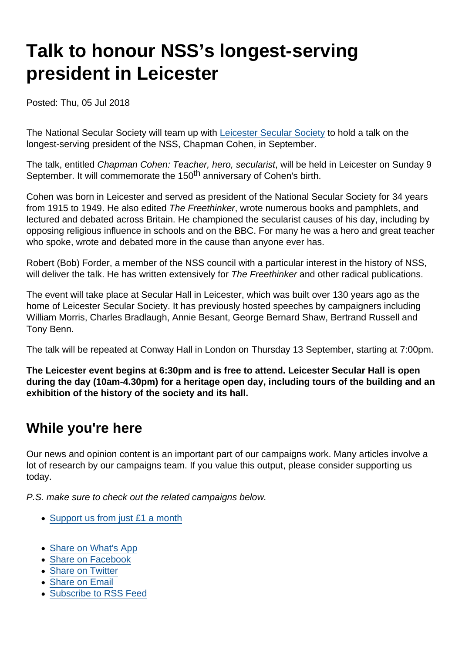## Talk to honour NSS's longest-serving president in Leicester

Posted: Thu, 05 Jul 2018

The National Secular Society will team up with [Leicester Secular Society](http://www.leicestersecularsociety.org.uk/PHP_redirected/secularhall.php) to hold a talk on the longest-serving president of the NSS, Chapman Cohen, in September.

The talk, entitled Chapman Cohen: Teacher, hero, secularist, will be held in Leicester on Sunday 9 September. It will commemorate the 150<sup>th</sup> anniversary of Cohen's birth.

Cohen was born in Leicester and served as president of the National Secular Society for 34 years from 1915 to 1949. He also edited The Freethinker, wrote numerous books and pamphlets, and lectured and debated across Britain. He championed the secularist causes of his day, including by opposing religious influence in schools and on the BBC. For many he was a hero and great teacher who spoke, wrote and debated more in the cause than anyone ever has.

Robert (Bob) Forder, a member of the NSS council with a particular interest in the history of NSS, will deliver the talk. He has written extensively for The Freethinker and other radical publications.

The event will take place at Secular Hall in Leicester, which was built over 130 years ago as the home of Leicester Secular Society. It has previously hosted speeches by campaigners including William Morris, Charles Bradlaugh, Annie Besant, George Bernard Shaw, Bertrand Russell and Tony Benn.

The talk will be repeated at Conway Hall in London on Thursday 13 September, starting at 7:00pm.

The Leicester event begins at 6:30pm and is free to attend. Leicester Secular Hall is open during the day (10am-4.30pm) for a heritage open day, including tours of the building and an exhibition of the history of the society and its hall.

## While you're here

Our news and opinion content is an important part of our campaigns work. Many articles involve a lot of research by our campaigns team. If you value this output, please consider supporting us today.

P.S. make sure to check out the related campaigns below.

- [Support us from just £1 a month](https://www.secularism.org.uk/donate.html)
- [Share on What's App](whatsapp://send?text=http://www.secularism.org.uk/news/2018/07/talk-to-honour-nsss-longest-serving-president-in-leicester?format=pdf)
- [Share on Facebook](https://www.facebook.com/sharer/sharer.php?u=http://www.secularism.org.uk/news/2018/07/talk-to-honour-nsss-longest-serving-president-in-leicester?format=pdf&t=Talk+to+honour+NSS’s+longest-serving+president+in+Leicester)
- [Share on Twitter](https://twitter.com/intent/tweet?url=http://www.secularism.org.uk/news/2018/07/talk-to-honour-nsss-longest-serving-president-in-leicester?format=pdf&text=Talk+to+honour+NSS’s+longest-serving+president+in+Leicester&via=NatSecSoc)
- [Share on Email](https://www.secularism.org.uk/share.html?url=http://www.secularism.org.uk/news/2018/07/talk-to-honour-nsss-longest-serving-president-in-leicester?format=pdf&title=Talk+to+honour+NSS’s+longest-serving+president+in+Leicester)
- [Subscribe to RSS Feed](/mnt/web-data/www/cp-nss/feeds/rss/news)